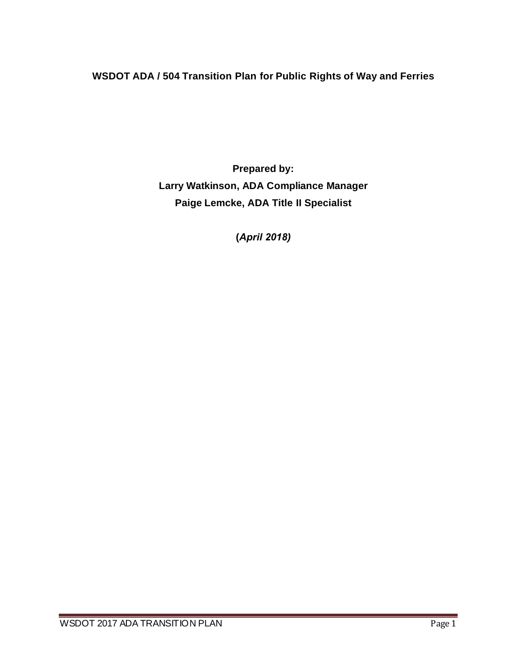### **WSDOT ADA / 504 Transition Plan for Public Rights of Way and Ferries**

**Prepared by: Larry Watkinson, ADA Compliance Manager Paige Lemcke, ADA Title II Specialist** 

**(***April 2018)*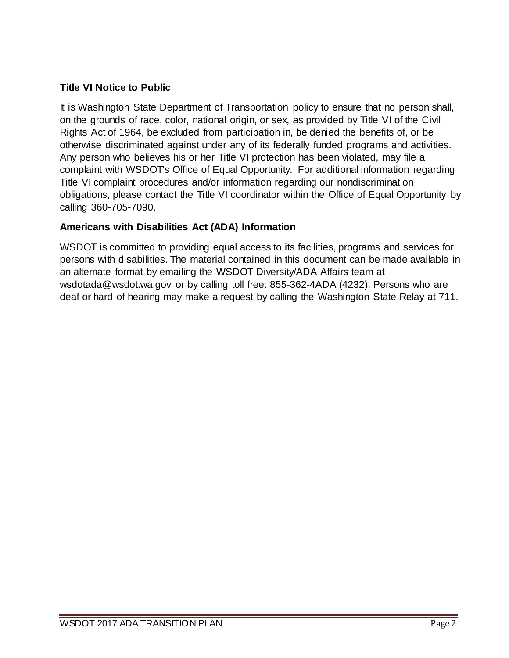#### **Title VI Notice to Public**

It is Washington State Department of Transportation policy to ensure that no person shall, on the grounds of race, color, national origin, or sex, as provided by Title VI of the Civil Rights Act of 1964, be excluded from participation in, be denied the benefits of, or be otherwise discriminated against under any of its federally funded programs and activities. Any person who believes his or her Title VI protection has been violated, may file a complaint with WSDOT's Office of Equal Opportunity. For additional information regarding Title VI complaint procedures and/or information regarding our nondiscrimination obligations, please contact the Title VI coordinator within the Office of Equal Opportunity by calling 360-705-7090.

### **Americans with Disabilities Act (ADA) Information**

WSDOT is committed to providing equal access to its facilities, programs and services for persons with disabilities. The material contained in this document can be made available in an alternate format by emailing the WSDOT Diversity/ADA Affairs team at wsdotada@wsdot.wa.gov or by calling toll free: 855-362-4ADA (4232). Persons who are deaf or hard of hearing may make a request by calling the Washington State Relay at 711.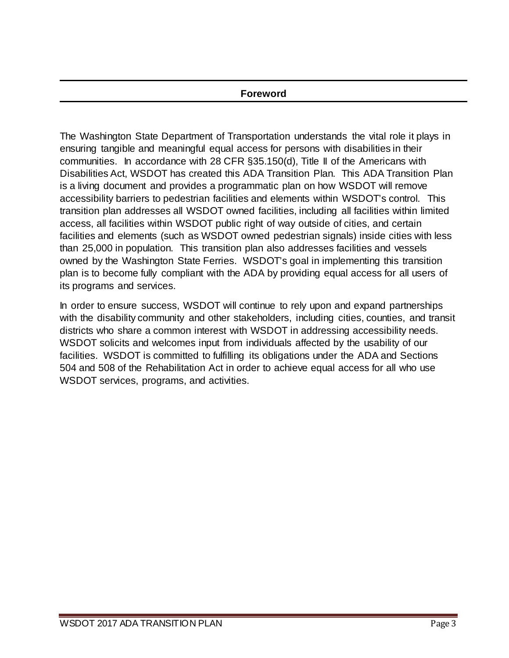#### **Foreword**

The Washington State Department of Transportation understands the vital role it plays in ensuring tangible and meaningful equal access for persons with disabilities in their communities. In accordance with 28 CFR §35.150(d), Title II of the Americans with Disabilities Act, WSDOT has created this ADA Transition Plan. This ADA Transition Plan is a living document and provides a programmatic plan on how WSDOT will remove accessibility barriers to pedestrian facilities and elements within WSDOT's control. This transition plan addresses all WSDOT owned facilities, including all facilities within limited access, all facilities within WSDOT public right of way outside of cities, and certain facilities and elements (such as WSDOT owned pedestrian signals) inside cities with less than 25,000 in population. This transition plan also addresses facilities and vessels owned by the Washington State Ferries. WSDOT's goal in implementing this transition plan is to become fully compliant with the ADA by providing equal access for all users of its programs and services.

In order to ensure success, WSDOT will continue to rely upon and expand partnerships with the disability community and other stakeholders, including cities, counties, and transit districts who share a common interest with WSDOT in addressing accessibility needs. WSDOT solicits and welcomes input from individuals affected by the usability of our facilities. WSDOT is committed to fulfilling its obligations under the ADA and Sections 504 and 508 of the Rehabilitation Act in order to achieve equal access for all who use WSDOT services, programs, and activities.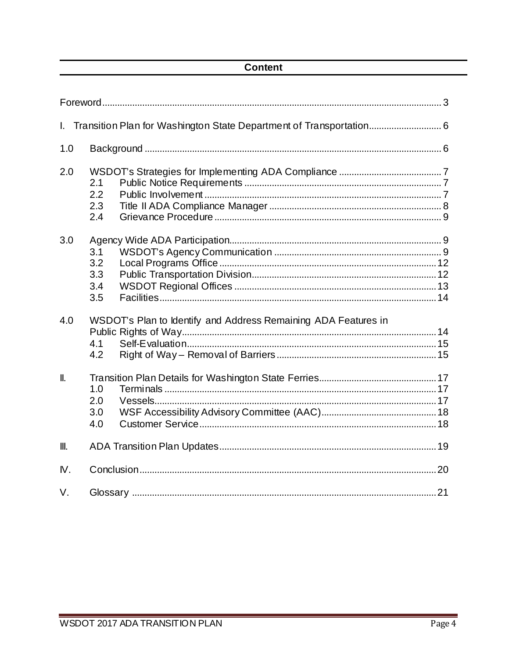#### **Content**

|                 | I. Transition Plan for Washington State Department of Transportation 6       |
|-----------------|------------------------------------------------------------------------------|
| 1.0             |                                                                              |
| 2.0             | 2.1<br>2.2<br>2.3<br>2.4                                                     |
| 3.0             | 3.1<br>3.2<br>3.3<br>3.4<br>3.5                                              |
| 4.0             | WSDOT's Plan to Identify and Address Remaining ADA Features in<br>4.1<br>4.2 |
| $\mathbf{II}$ . | 1.0<br>2.0<br>3.0<br>4.0                                                     |
| III.            |                                                                              |
| IV.             |                                                                              |
| V.              |                                                                              |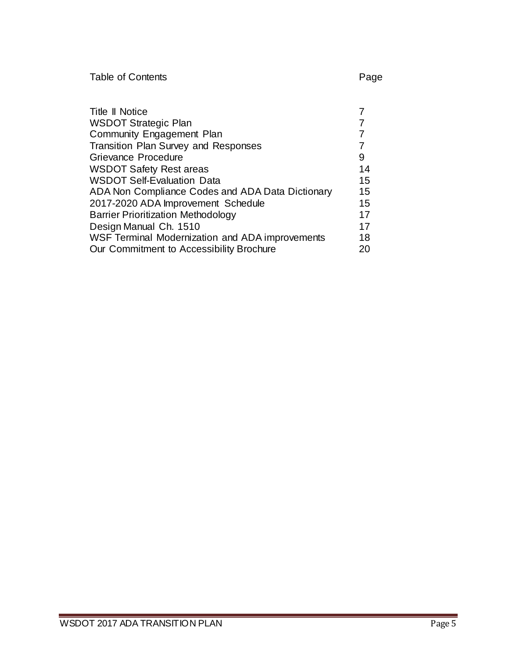Table of Contents **Page** 

| Title II Notice                                  |    |
|--------------------------------------------------|----|
| <b>WSDOT Strategic Plan</b>                      |    |
| <b>Community Engagement Plan</b>                 |    |
| Transition Plan Survey and Responses             |    |
| Grievance Procedure                              | 9  |
| <b>WSDOT Safety Rest areas</b>                   | 14 |
| <b>WSDOT Self-Evaluation Data</b>                | 15 |
| ADA Non Compliance Codes and ADA Data Dictionary | 15 |
| 2017-2020 ADA Improvement Schedule               | 15 |
| <b>Barrier Prioritization Methodology</b>        | 17 |
| Design Manual Ch. 1510                           | 17 |
| WSF Terminal Modernization and ADA improvements  | 18 |
| Our Commitment to Accessibility Brochure         | 20 |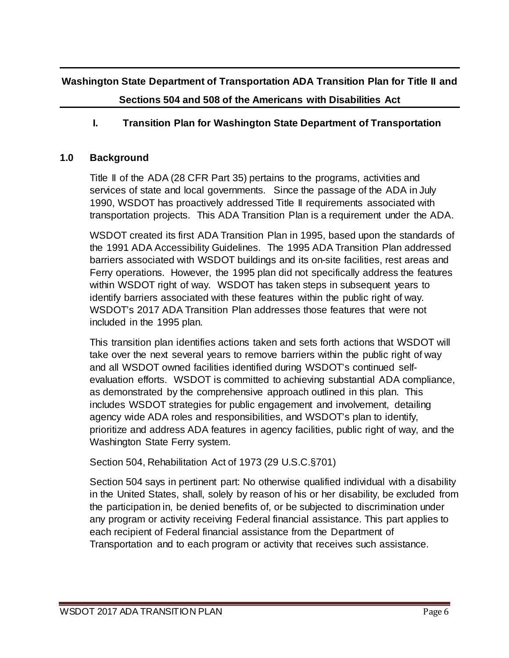# **Washington State Department of Transportation ADA Transition Plan for Title II and**

**Sections 504 and 508 of the Americans with Disabilities Act**

# **I. Transition Plan for Washington State Department of Transportation**

#### **1.0 Background**

Title II of the ADA (28 CFR Part 35) pertains to the programs, activities and services of state and local governments. Since the passage of the ADA in July 1990, WSDOT has proactively addressed Title II requirements associated with transportation projects. This ADA Transition Plan is a requirement under the ADA.

WSDOT created its first ADA Transition Plan in 1995, based upon the standards of the 1991 ADA Accessibility Guidelines. The 1995 ADA Transition Plan addressed barriers associated with WSDOT buildings and its on-site facilities, rest areas and Ferry operations. However, the 1995 plan did not specifically address the features within WSDOT right of way. WSDOT has taken steps in subsequent years to identify barriers associated with these features within the public right of way. WSDOT's 2017 ADA Transition Plan addresses those features that were not included in the 1995 plan.

This transition plan identifies actions taken and sets forth actions that WSDOT will take over the next several years to remove barriers within the public right of way and all WSDOT owned facilities identified during WSDOT's continued selfevaluation efforts. WSDOT is committed to achieving substantial ADA compliance, as demonstrated by the comprehensive approach outlined in this plan. This includes WSDOT strategies for public engagement and involvement, detailing agency wide ADA roles and responsibilities, and WSDOT's plan to identify, prioritize and address ADA features in agency facilities, public right of way, and the Washington State Ferry system.

Section 504, Rehabilitation Act of 1973 (29 U.S.C.§701)

Section 504 says in pertinent part: No otherwise qualified individual with a disability in the United States, shall, solely by reason of his or her disability, be excluded from the participation in, be denied benefits of, or be subjected to discrimination under any program or activity receiving Federal financial assistance. This part applies to each recipient of Federal financial assistance from the Department of Transportation and to each program or activity that receives such assistance.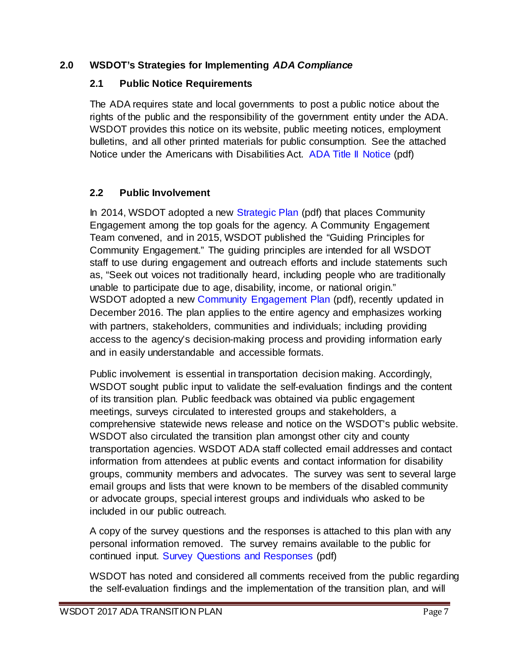# **2.0 WSDOT's Strategies for Implementing** *ADA Compliance*

### **2.1 Public Notice Requirements**

The ADA requires state and local governments to post a public notice about the rights of the public and the responsibility of the government entity under the ADA. WSDOT provides this notice on its website, public meeting notices, employment bulletins, and all other printed materials for public consumption. See the attached Notice under the Americans with Disabilities Act. [ADA Title II Notice](http://www.wsdot.wa.gov/publications/fulltext/access/ADATIInotice.pdf) (pdf)

### **2.2 Public Involvement**

In 2014, WSDOT adopted a new [Strategic Plan](http://www.wsdot.wa.gov/publications/fulltext/access/wsdotstrategicplan.pdf) (pdf) that places Community Engagement among the top goals for the agency. A Community Engagement Team convened, and in 2015, WSDOT published the "Guiding Principles for Community Engagement." The guiding principles are intended for all WSDOT staff to use during engagement and outreach efforts and include statements such as, "Seek out voices not traditionally heard, including people who are traditionally unable to participate due to age, disability, income, or national origin." WSDOT adopted a new [Community Engagement Plan](http://www.wsdot.wa.gov/sites/default/files/2017/02/28/FinalCEP2016.pdf) (pdf), recently updated in December 2016. The plan applies to the entire agency and emphasizes working with partners, stakeholders, communities and individuals; including providing access to the agency's decision-making process and providing information early and in easily understandable and accessible formats.

Public involvement is essential in transportation decision making. Accordingly, WSDOT sought public input to validate the self-evaluation findings and the content of its transition plan. Public feedback was obtained via public engagement meetings, surveys circulated to interested groups and stakeholders, a comprehensive statewide news release and notice on the WSDOT's public website. WSDOT also circulated the transition plan amongst other city and county transportation agencies. WSDOT ADA staff collected email addresses and contact information from attendees at public events and contact information for disability groups, community members and advocates. The survey was sent to several large email groups and lists that were known to be members of the disabled community or advocate groups, special interest groups and individuals who asked to be included in our public outreach.

A copy of the survey questions and the responses is attached to this plan with any personal information removed. The survey remains available to the public for continued input. [Survey Questions and Responses](http://www.wsdot.wa.gov/publications/fulltext/access/surveyresponses2017.pdf) (pdf)

WSDOT has noted and considered all comments received from the public regarding the self‐evaluation findings and the implementation of the transition plan, and will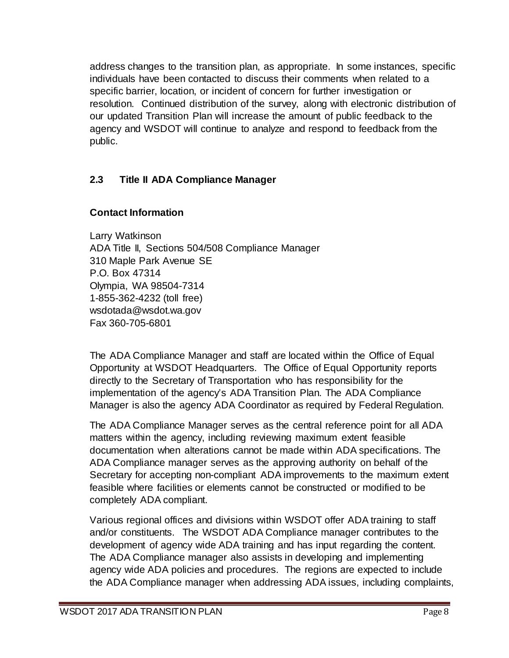address changes to the transition plan, as appropriate. In some instances, specific individuals have been contacted to discuss their comments when related to a specific barrier, location, or incident of concern for further investigation or resolution. Continued distribution of the survey, along with electronic distribution of our updated Transition Plan will increase the amount of public feedback to the agency and WSDOT will continue to analyze and respond to feedback from the public.

## **2.3 Title II ADA Compliance Manager**

## **Contact Information**

Larry Watkinson ADA Title II, Sections 504/508 Compliance Manager 310 Maple Park Avenue SE P.O. Box 47314 Olympia, WA 98504-7314 1-855-362-4232 (toll free) wsdotada@wsdot.wa.gov Fax 360-705-6801

The ADA Compliance Manager and staff are located within the Office of Equal Opportunity at WSDOT Headquarters. The Office of Equal Opportunity reports directly to the Secretary of Transportation who has responsibility for the implementation of the agency's ADA Transition Plan. The ADA Compliance Manager is also the agency ADA Coordinator as required by Federal Regulation.

The ADA Compliance Manager serves as the central reference point for all ADA matters within the agency, including reviewing maximum extent feasible documentation when alterations cannot be made within ADA specifications. The ADA Compliance manager serves as the approving authority on behalf of the Secretary for accepting non-compliant ADA improvements to the maximum extent feasible where facilities or elements cannot be constructed or modified to be completely ADA compliant.

Various regional offices and divisions within WSDOT offer ADA training to staff and/or constituents. The WSDOT ADA Compliance manager contributes to the development of agency wide ADA training and has input regarding the content. The ADA Compliance manager also assists in developing and implementing agency wide ADA policies and procedures. The regions are expected to include the ADA Compliance manager when addressing ADA issues, including complaints,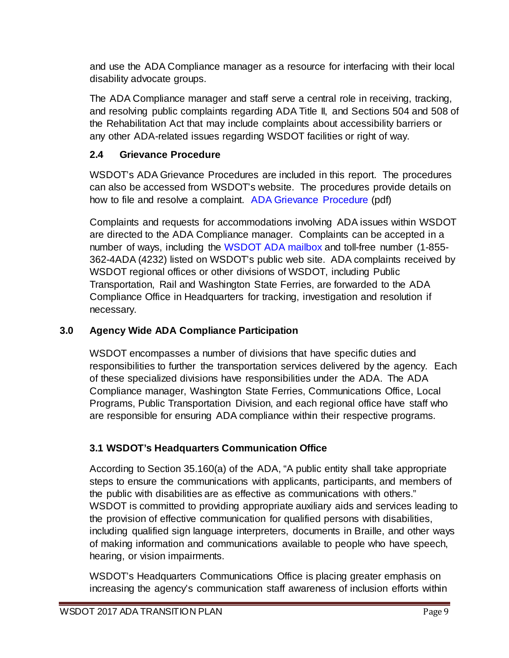and use the ADA Compliance manager as a resource for interfacing with their local disability advocate groups.

The ADA Compliance manager and staff serve a central role in receiving, tracking, and resolving public complaints regarding ADA Title II, and Sections 504 and 508 of the Rehabilitation Act that may include complaints about accessibility barriers or any other ADA-related issues regarding WSDOT facilities or right of way.

# **2.4 Grievance Procedure**

WSDOT's ADA Grievance Procedures are included in this report. The procedures can also be accessed from WSDOT's website. The procedures provide details on how to file and resolve a complaint. [ADA Grievance Procedure](http://www.wsdot.wa.gov/publications/fulltext/access/ADAGrievanceprocedure.pdf) (pdf)

Complaints and requests for accommodations involving ADA issues within WSDOT are directed to the ADA Compliance manager. Complaints can be accepted in a number of ways, including the WSDOT [ADA mailbox](mailto:WSDOTADA@WSDOT.WA.GOV) and toll-free number (1-855- 362-4ADA (4232) listed on WSDOT's public web site. ADA complaints received by WSDOT regional offices or other divisions of WSDOT, including Public Transportation, Rail and Washington State Ferries, are forwarded to the ADA Compliance Office in Headquarters for tracking, investigation and resolution if necessary.

# **3.0****Agency Wide ADA Compliance Participation**

WSDOT encompasses a number of divisions that have specific duties and responsibilities to further the transportation services delivered by the agency. Each of these specialized divisions have responsibilities under the ADA. The ADA Compliance manager, Washington State Ferries, Communications Office, Local Programs, Public Transportation Division, and each regional office have staff who are responsible for ensuring ADA compliance within their respective programs.

# **3.1 WSDOT's Headquarters Communication Office**

According to Section 35.160(a) of the ADA, "A public entity shall take appropriate steps to ensure the communications with applicants, participants, and members of the public with disabilities are as effective as communications with others." WSDOT is committed to providing appropriate auxiliary aids and services leading to the provision of effective communication for qualified persons with disabilities, including qualified sign language interpreters, documents in Braille, and other ways of making information and communications available to people who have speech, hearing, or vision impairments.

WSDOT's Headquarters Communications Office is placing greater emphasis on increasing the agency's communication staff awareness of inclusion efforts within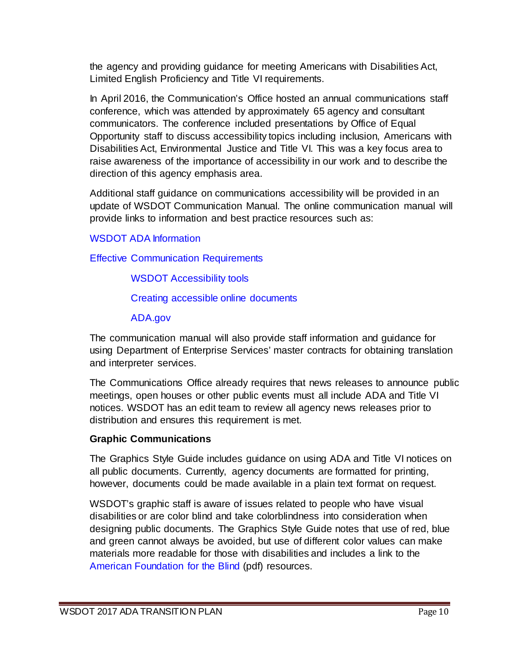the agency and providing guidance for meeting Americans with Disabilities Act, Limited English Proficiency and Title VI requirements.

In April 2016, the Communication's Office hosted an annual communications staff conference, which was attended by approximately 65 agency and consultant communicators. The conference included presentations by Office of Equal Opportunity staff to discuss accessibility topics including inclusion, Americans with Disabilities Act, Environmental Justice and Title VI. This was a key focus area to raise awareness of the importance of accessibility in our work and to describe the direction of this agency emphasis area.

Additional staff guidance on communications accessibility will be provided in an update of WSDOT Communication Manual. The online communication manual will provide links to information and best practice resources such as:

### [WSDOT ADA Information](http://www.wsdot.wa.gov/accessibility)

[Effective Communication Requirements](http://www.ada.gov/pcatoolkit/chap3toolkit.htm) 

[WSDOT Accessibility tools](http://www.wsdot.wa.gov/Communications/WebToolKit/AccessibilityTools.htm)

[Creating accessible online documents](http://www.wsdot.wa.gov/Communications/WebToolKit/AccessiblePDF.htm)

[ADA.gov](http://www.ada.gov/access-technology/index.html)

The communication manual will also provide staff information and guidance for using Department of Enterprise Services' master contracts for obtaining translation and interpreter services.

The Communications Office already requires that news releases to announce public meetings, open houses or other public events must all include ADA and Title VI notices. WSDOT has an edit team to review all agency news releases prior to distribution and ensures this requirement is met.

#### **Graphic Communications**

The Graphics Style Guide includes guidance on using ADA and Title VI notices on all public documents. Currently, agency documents are formatted for printing, however, documents could be made available in a plain text format on request.

WSDOT's graphic staff is aware of issues related to people who have visual disabilities or are color blind and take colorblindness into consideration when designing public documents. The Graphics Style Guide notes that use of red, blue and green cannot always be avoided, but use of different color values can make materials more readable for those with disabilities and includes a link to the [American Foundation for the Blind](http://www.afb.org/info/reading-and-writing/making-print-more-readable/35) (pdf) resources.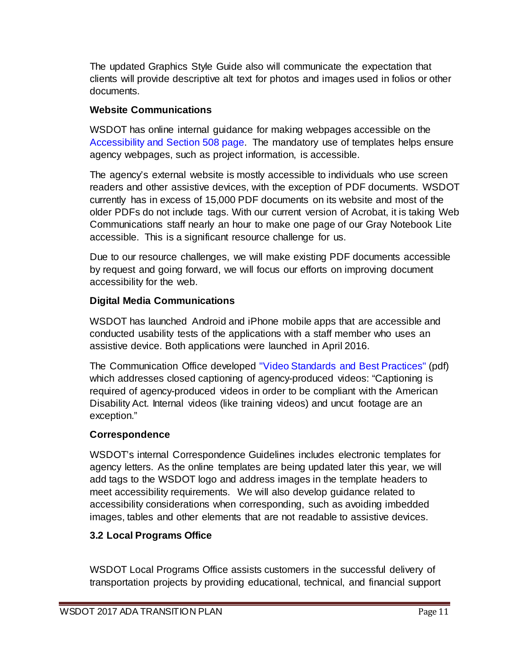The updated Graphics Style Guide also will communicate the expectation that clients will provide descriptive alt text for photos and images used in folios or other documents.

#### **Website Communications**

WSDOT has online internal guidance for making webpages accessible on the [Accessibility and Section 508 page.](http://www.wsdot.wa.gov/Communications/WebToolKit/AccessibilityTools.htm) The mandatory use of templates helps ensure agency webpages, such as project information, is accessible.

The agency's external website is mostly accessible to individuals who use screen readers and other assistive devices, with the exception of PDF documents. WSDOT currently has in excess of 15,000 PDF documents on its website and most of the older PDFs do not include tags. With our current version of Acrobat, it is taking Web Communications staff nearly an hour to make one page of our Gray Notebook Lite accessible. This is a significant resource challenge for us.

Due to our resource challenges, we will make existing PDF documents accessible by request and going forward, we will focus our efforts on improving document accessibility for the web.

## **Digital Media Communications**

WSDOT has launched Android and iPhone mobile apps that are accessible and conducted usability tests of the applications with a staff member who uses an assistive device. Both applications were launched in April 2016.

The Communication Office developed ["Video Standards and Best Practices"](http://www.wsdot.wa.gov/publications/fulltext/access/VideoStandardsBestPractices.pdf) (pdf) which addresses closed captioning of agency-produced videos: "Captioning is required of agency-produced videos in order to be compliant with the American Disability Act. Internal videos (like training videos) and uncut footage are an exception."

#### **Correspondence**

WSDOT's internal Correspondence Guidelines includes electronic templates for agency letters. As the online templates are being updated later this year, we will add tags to the WSDOT logo and address images in the template headers to meet accessibility requirements. We will also develop guidance related to accessibility considerations when corresponding, such as avoiding imbedded images, tables and other elements that are not readable to assistive devices.

## **3.2 Local Programs Office**

WSDOT Local Programs Office assists customers in the successful delivery of transportation projects by providing educational, technical, and financial support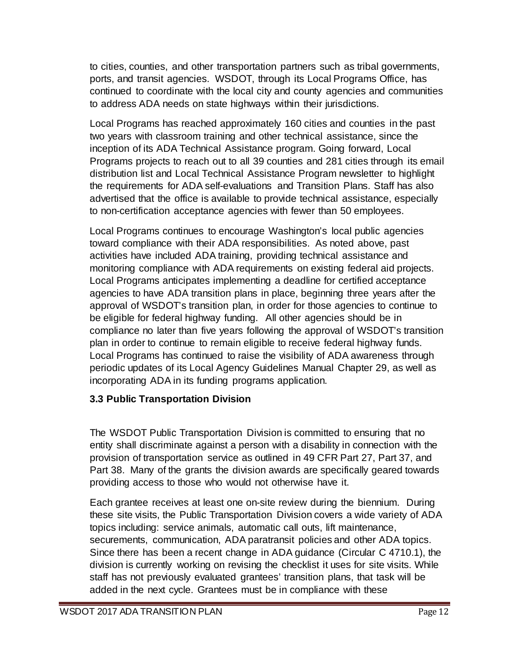to cities, counties, and other transportation partners such as tribal governments, ports, and transit agencies. WSDOT, through its Local Programs Office, has continued to coordinate with the local city and county agencies and communities to address ADA needs on state highways within their jurisdictions.

Local Programs has reached approximately 160 cities and counties in the past two years with classroom training and other technical assistance, since the inception of its ADA Technical Assistance program. Going forward, Local Programs projects to reach out to all 39 counties and 281 cities through its email distribution list and Local Technical Assistance Program newsletter to highlight the requirements for ADA self-evaluations and Transition Plans. Staff has also advertised that the office is available to provide technical assistance, especially to non-certification acceptance agencies with fewer than 50 employees.

Local Programs continues to encourage Washington's local public agencies toward compliance with their ADA responsibilities. As noted above, past activities have included ADA training, providing technical assistance and monitoring compliance with ADA requirements on existing federal aid projects. Local Programs anticipates implementing a deadline for certified acceptance agencies to have ADA transition plans in place, beginning three years after the approval of WSDOT's transition plan, in order for those agencies to continue to be eligible for federal highway funding. All other agencies should be in compliance no later than five years following the approval of WSDOT's transition plan in order to continue to remain eligible to receive federal highway funds. Local Programs has continued to raise the visibility of ADA awareness through periodic updates of its Local Agency Guidelines Manual Chapter 29, as well as incorporating ADA in its funding programs application.

## **3.3 Public Transportation Division**

The WSDOT Public Transportation Division is committed to ensuring that no entity shall discriminate against a person with a disability in connection with the provision of transportation service as outlined in 49 CFR Part 27, Part 37, and Part 38. Many of the grants the division awards are specifically geared towards providing access to those who would not otherwise have it.

Each grantee receives at least one on-site review during the biennium. During these site visits, the Public Transportation Division covers a wide variety of ADA topics including: service animals, automatic call outs, lift maintenance, securements, communication, ADA paratransit policies and other ADA topics. Since there has been a recent change in ADA guidance (Circular C 4710.1), the division is currently working on revising the checklist it uses for site visits. While staff has not previously evaluated grantees' transition plans, that task will be added in the next cycle. Grantees must be in compliance with these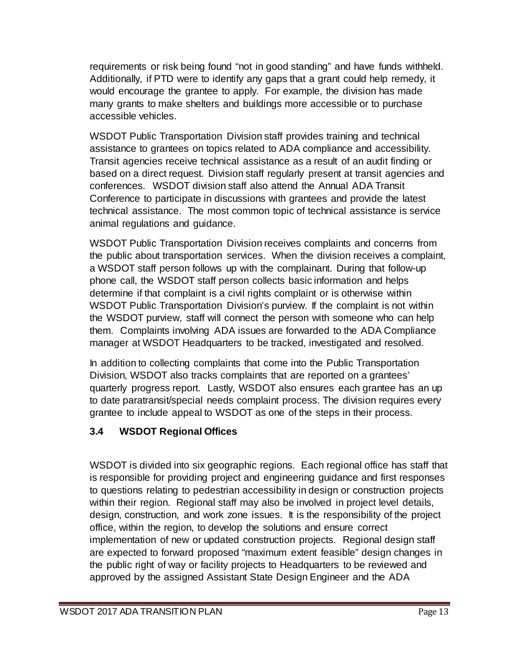requirements or risk being found "not in good standing" and have funds withheld. Additionally, if PTD were to identify any gaps that a grant could help remedy, it would encourage the grantee to apply. For example, the division has made many grants to make shelters and buildings more accessible or to purchase accessible vehicles.

WSDOT Public Transportation Division staff provides training and technical assistance to grantees on topics related to ADA compliance and accessibility. Transit agencies receive technical assistance as a result of an audit finding or based on a direct request. Division staff regularly present at transit agencies and conferences. WSDOT division staff also attend the Annual ADA Transit Conference to participate in discussions with grantees and provide the latest technical assistance. The most common topic of technical assistance is service animal regulations and guidance.

WSDOT Public Transportation Division receives complaints and concerns from the public about transportation services. When the division receives a complaint, a WSDOT staff person follows up with the complainant. During that follow-up phone call, the WSDOT staff person collects basic information and helps determine if that complaint is a civil rights complaint or is otherwise within WSDOT Public Transportation Division's purview. If the complaint is not within the WSDOT purview, staff will connect the person with someone who can help them. Complaints involving ADA issues are forwarded to the ADA Compliance manager at WSDOT Headquarters to be tracked, investigated and resolved.

In addition to collecting complaints that come into the Public Transportation Division, WSDOT also tracks complaints that are reported on a grantees' quarterly progress report. Lastly, WSDOT also ensures each grantee has an up to date paratransit/special needs complaint process. The division requires every grantee to include appeal to WSDOT as one of the steps in their process.

# **3.4 WSDOT Regional Offices**

WSDOT is divided into six geographic regions. Each regional office has staff that is responsible for providing project and engineering guidance and first responses to questions relating to pedestrian accessibility in design or construction projects within their region. Regional staff may also be involved in project level details, design, construction, and work zone issues. It is the responsibility of the project office, within the region, to develop the solutions and ensure correct implementation of new or updated construction projects. Regional design staff are expected to forward proposed "maximum extent feasible" design changes in the public right of way or facility projects to Headquarters to be reviewed and approved by the assigned Assistant State Design Engineer and the ADA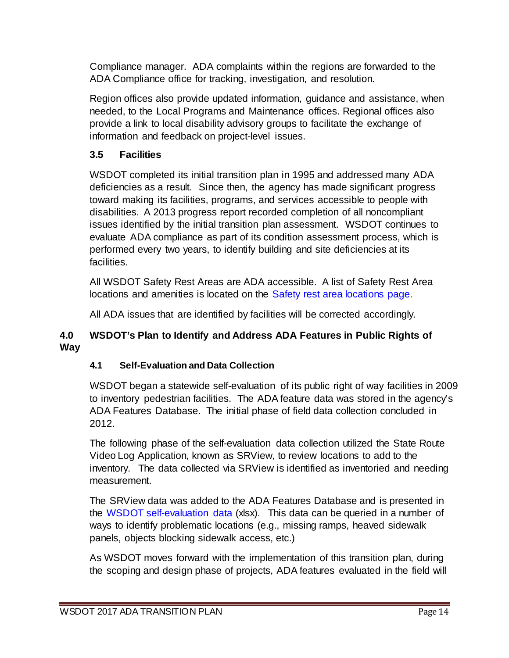Compliance manager. ADA complaints within the regions are forwarded to the ADA Compliance office for tracking, investigation, and resolution.

Region offices also provide updated information, guidance and assistance, when needed, to the Local Programs and Maintenance offices. Regional offices also provide a link to local disability advisory groups to facilitate the exchange of information and feedback on project-level issues.

# **3.5 Facilities**

WSDOT completed its initial transition plan in 1995 and addressed many ADA deficiencies as a result. Since then, the agency has made significant progress toward making its facilities, programs, and services accessible to people with disabilities. A 2013 progress report recorded completion of all noncompliant issues identified by the initial transition plan assessment. WSDOT continues to evaluate ADA compliance as part of its condition assessment process, which is performed every two years, to identify building and site deficiencies at its facilities.

All WSDOT Safety Rest Areas are ADA accessible. A list of Safety Rest Area locations and amenities is located on the [Safety rest area locations page.](http://www.wsdot.wa.gov/Safety/RestAreas/default.htm)

All ADA issues that are identified by facilities will be corrected accordingly.

## **4.0 WSDOT's Plan to Identify and Address ADA Features in Public Rights of Way**

## **4.1 Self-Evaluation and Data Collection**

WSDOT began a statewide self-evaluation of its public right of way facilities in 2009 to inventory pedestrian facilities. The ADA feature data was stored in the agency's ADA Features Database. The initial phase of field data collection concluded in 2012.

The following phase of the self-evaluation data collection utilized the State Route Video Log Application, known as SRView, to review locations to add to the inventory. The data collected via SRView is identified as inventoried and needing measurement.

The SRView data was added to the ADA Features Database and is presented in the [WSDOT self-evaluation data](http://www.wsdot.wa.gov/publications/fulltext/access/WSDOTSelfEvaluationData.xlsx) (xlsx). This data can be queried in a number of ways to identify problematic locations (e.g., missing ramps, heaved sidewalk panels, objects blocking sidewalk access, etc.)

As WSDOT moves forward with the implementation of this transition plan, during the scoping and design phase of projects, ADA features evaluated in the field will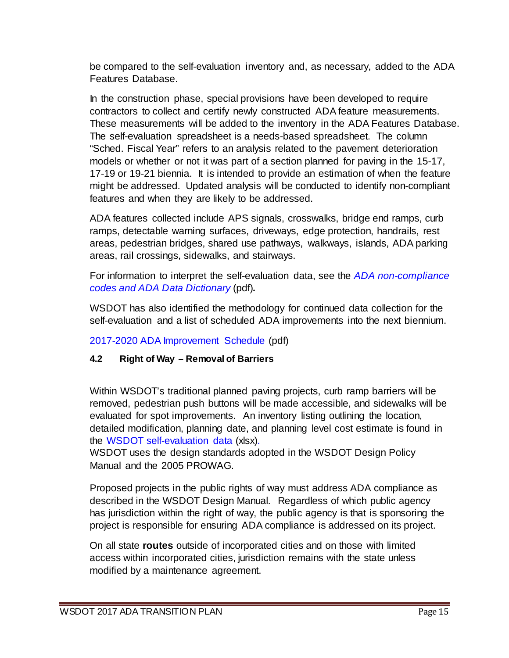be compared to the self-evaluation inventory and, as necessary, added to the ADA Features Database.

In the construction phase, special provisions have been developed to require contractors to collect and certify newly constructed ADA feature measurements. These measurements will be added to the inventory in the ADA Features Database. The self-evaluation spreadsheet is a needs-based spreadsheet. The column "Sched. Fiscal Year" refers to an analysis related to the pavement deterioration models or whether or not it was part of a section planned for paving in the 15-17, 17-19 or 19-21 biennia. It is intended to provide an estimation of when the feature might be addressed. Updated analysis will be conducted to identify non-compliant features and when they are likely to be addressed.

ADA features collected include APS signals, crosswalks, bridge end ramps, curb ramps, detectable warning surfaces, driveways, edge protection, handrails, rest areas, pedestrian bridges, shared use pathways, walkways, islands, ADA parking areas, rail crossings, sidewalks, and stairways.

For information to interpret the self-evaluation data, see the *[ADA non-compliance](http://www.wsdot.wa.gov/publications/fulltext/access/ADACodesanddictionary.pdf)  [codes and ADA Data Dictionary](http://www.wsdot.wa.gov/publications/fulltext/access/ADACodesanddictionary.pdf)* (pdf)*.*

WSDOT has also identified the methodology for continued data collection for the self-evaluation and a list of scheduled ADA improvements into the next biennium.

#### [2017-2020 ADA Improvement Schedule](http://www.wsdot.wa.gov/publications/fulltext/access/2017-2020ADAImprovementschedule.pdf) (pdf)

#### **4.2 Right of Way – Removal of Barriers**

Within WSDOT's traditional planned paving projects, curb ramp barriers will be removed, pedestrian push buttons will be made accessible, and sidewalks will be evaluated for spot improvements. An inventory listing outlining the location, detailed modification, planning date, and planning level cost estimate is found in the [WSDOT self-evaluation data](http://www.wsdot.wa.gov/publications/fulltext/access/WSDOTSelfEvaluationData.xlsx) (xlsx).

WSDOT uses the design standards adopted in the WSDOT Design Policy Manual and the 2005 PROWAG.

Proposed projects in the public rights of way must address ADA compliance as described in the WSDOT Design Manual. Regardless of which public agency has jurisdiction within the right of way, the public agency is that is sponsoring the project is responsible for ensuring ADA compliance is addressed on its project.

On all state **routes** outside of incorporated cities and on those with limited access within incorporated cities, jurisdiction remains with the state unless modified by a maintenance agreement.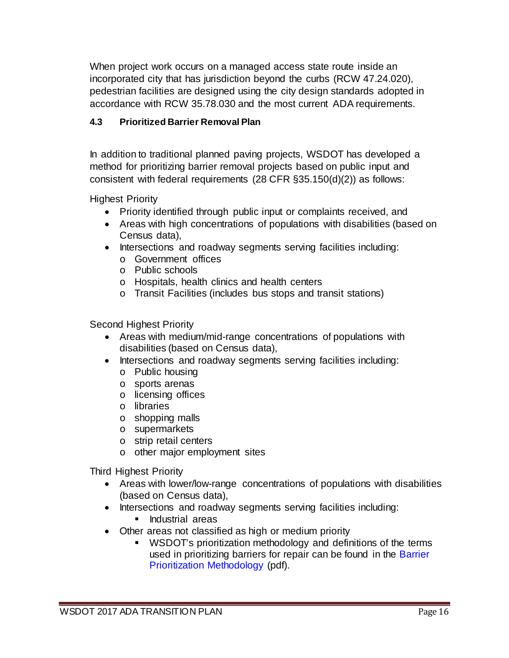When project work occurs on a managed access state route inside an incorporated city that has jurisdiction beyond the curbs (RCW 47.24.020), pedestrian facilities are designed using the city design standards adopted in accordance with RCW 35.78.030 and the most current ADA requirements.

## **4.3 Prioritized Barrier Removal Plan**

In addition to traditional planned paving projects, WSDOT has developed a method for prioritizing barrier removal projects based on public input and consistent with federal requirements (28 CFR §35.150(d)(2)) as follows:

Highest Priority

- Priority identified through public input or complaints received, and
- Areas with high concentrations of populations with disabilities (based on Census data),
- Intersections and roadway segments serving facilities including:
	- o Government offices
	- o Public schools
	- o Hospitals, health clinics and health centers
	- o Transit Facilities (includes bus stops and transit stations)

Second Highest Priority

- Areas with medium/mid-range concentrations of populations with disabilities (based on Census data),
- Intersections and roadway segments serving facilities including:
	- o Public housing
	- o sports arenas
	- o licensing offices
	- o libraries
	- o shopping malls
	- o supermarkets
	- o strip retail centers
	- o other major employment sites

Third Highest Priority

- Areas with lower/low-range concentrations of populations with disabilities (based on Census data),
- Intersections and roadway segments serving facilities including: **Industrial areas**
- Other areas not classified as high or medium priority
	- WSDOT's prioritization methodology and definitions of the terms used in prioritizing barriers for repair can be found in the Barrier [Prioritization Methodology](http://www.wsdot.wa.gov/publications/fulltext/access/BarrierPrioritizationMethodology.pdf) (pdf).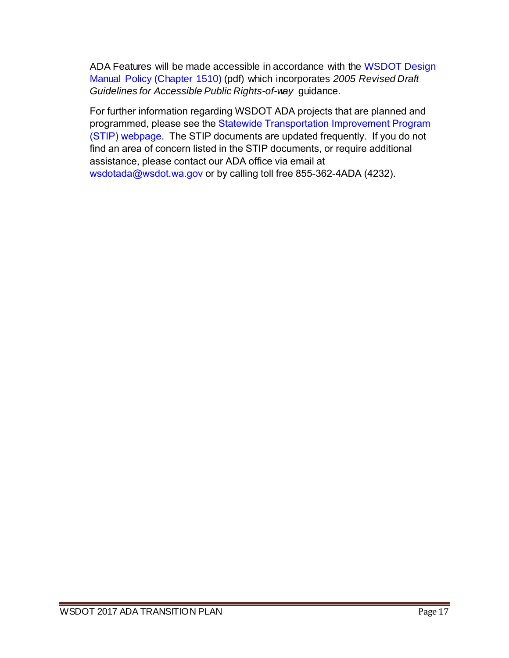ADA Features will be made accessible in accordance with the [WSDOT](http://www.wsdot.wa.gov/publications/manuals/fulltext/M22-01/1510.pdf) Design Manual Policy [\(Chapter](http://www.wsdot.wa.gov/publications/manuals/fulltext/M22-01/1510.pdf) 1510) (pdf) which incorporates *2005 Revised Draft Guidelines for Accessible Public Rights-of-way* guidance.

For further information regarding WSDOT ADA projects that are planned and programmed, please see the [Statewide Transportation Improvement Program](https://www.wsdot.wa.gov/LocalPrograms/ProgramMgmt/STIP.htm)  [\(STIP\) webpage.](https://www.wsdot.wa.gov/LocalPrograms/ProgramMgmt/STIP.htm) The STIP documents are updated frequently. If you do not find an area of concern listed in the STIP documents, or require additional assistance, please contact our ADA office via email at [wsdotada@wsdot.wa.gov](mailto:wsdotada@wsdot.wa.gov) or by calling toll free 855-362-4ADA (4232).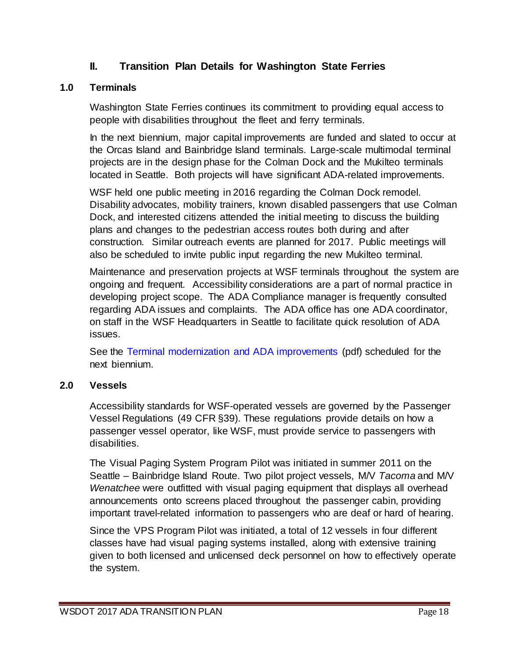## **II. Transition Plan Details for Washington State Ferries**

#### **1.0 Terminals**

Washington State Ferries continues its commitment to providing equal access to people with disabilities throughout the fleet and ferry terminals.

In the next biennium, major capital improvements are funded and slated to occur at the Orcas Island and Bainbridge Island terminals. Large-scale multimodal terminal projects are in the design phase for the Colman Dock and the Mukilteo terminals located in Seattle. Both projects will have significant ADA-related improvements.

WSF held one public meeting in 2016 regarding the Colman Dock remodel. Disability advocates, mobility trainers, known disabled passengers that use Colman Dock, and interested citizens attended the initial meeting to discuss the building plans and changes to the pedestrian access routes both during and after construction. Similar outreach events are planned for 2017. Public meetings will also be scheduled to invite public input regarding the new Mukilteo terminal.

Maintenance and preservation projects at WSF terminals throughout the system are ongoing and frequent. Accessibility considerations are a part of normal practice in developing project scope. The ADA Compliance manager is frequently consulted regarding ADA issues and complaints. The ADA office has one ADA coordinator, on staff in the WSF Headquarters in Seattle to facilitate quick resolution of ADA issues.

See the [Terminal modernization](http://www.wsdot.wa.gov/publications/fulltext/access/WSFBarrierRemovalSchedule2017.pdf) and ADA improvements (pdf) scheduled for the next biennium.

#### **2.0 Vessels**

Accessibility standards for WSF-operated vessels are governed by the Passenger Vessel Regulations (49 CFR §39). These regulations provide details on how a passenger vessel operator, like WSF, must provide service to passengers with disabilities.

The Visual Paging System Program Pilot was initiated in summer 2011 on the Seattle – Bainbridge Island Route. Two pilot project vessels, M/V *Tacoma* and M/V *Wenatchee* were outfitted with visual paging equipment that displays all overhead announcements onto screens placed throughout the passenger cabin, providing important travel-related information to passengers who are deaf or hard of hearing.

Since the VPS Program Pilot was initiated, a total of 12 vessels in four different classes have had visual paging systems installed, along with extensive training given to both licensed and unlicensed deck personnel on how to effectively operate the system.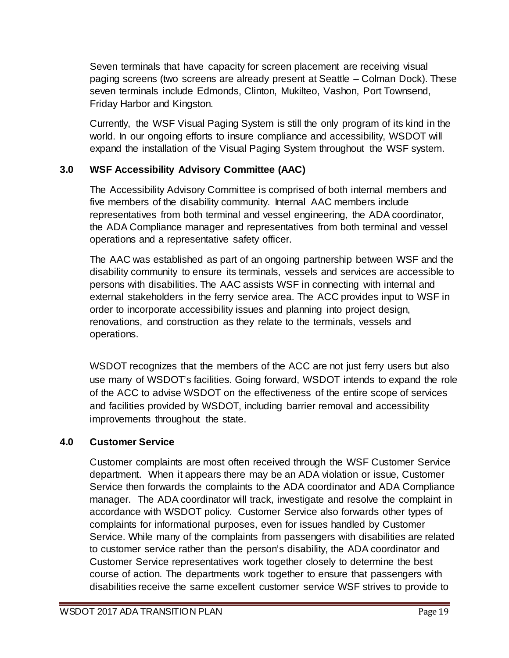Seven terminals that have capacity for screen placement are receiving visual paging screens (two screens are already present at Seattle – Colman Dock). These seven terminals include Edmonds, Clinton, Mukilteo, Vashon, Port Townsend, Friday Harbor and Kingston.

Currently, the WSF Visual Paging System is still the only program of its kind in the world. In our ongoing efforts to insure compliance and accessibility, WSDOT will expand the installation of the Visual Paging System throughout the WSF system.

## **3.0 WSF Accessibility Advisory Committee (AAC)**

The Accessibility Advisory Committee is comprised of both internal members and five members of the disability community. Internal AAC members include representatives from both terminal and vessel engineering, the ADA coordinator, the ADA Compliance manager and representatives from both terminal and vessel operations and a representative safety officer.

The AAC was established as part of an ongoing partnership between WSF and the disability community to ensure its terminals, vessels and services are accessible to persons with disabilities. The AAC assists WSF in connecting with internal and external stakeholders in the ferry service area. The ACC provides input to WSF in order to incorporate accessibility issues and planning into project design, renovations, and construction as they relate to the terminals, vessels and operations.

WSDOT recognizes that the members of the ACC are not just ferry users but also use many of WSDOT's facilities. Going forward, WSDOT intends to expand the role of the ACC to advise WSDOT on the effectiveness of the entire scope of services and facilities provided by WSDOT, including barrier removal and accessibility improvements throughout the state.

#### **4.0 Customer Service**

Customer complaints are most often received through the WSF Customer Service department. When it appears there may be an ADA violation or issue, Customer Service then forwards the complaints to the ADA coordinator and ADA Compliance manager. The ADA coordinator will track, investigate and resolve the complaint in accordance with WSDOT policy. Customer Service also forwards other types of complaints for informational purposes, even for issues handled by Customer Service. While many of the complaints from passengers with disabilities are related to customer service rather than the person's disability, the ADA coordinator and Customer Service representatives work together closely to determine the best course of action. The departments work together to ensure that passengers with disabilities receive the same excellent customer service WSF strives to provide to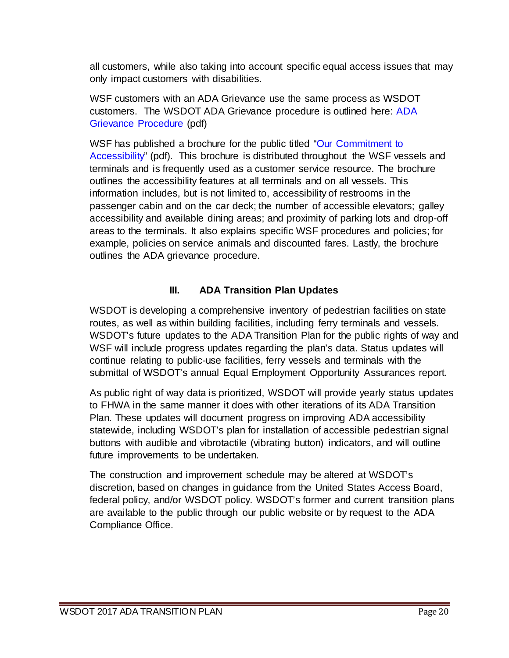all customers, while also taking into account specific equal access issues that may only impact customers with disabilities.

WSF customers with an ADA Grievance use the same process as WSDOT customers. The WSDOT ADA Grievance procedure is outlined here: [ADA](http://www.wsdot.wa.gov/publications/fulltext/access/ADAGrievanceprocedure.pdf)  [Grievance Procedure](http://www.wsdot.wa.gov/publications/fulltext/access/ADAGrievanceprocedure.pdf) (pdf)

WSF has published a brochure for the public titled "Our Commitment to [Accessibility"](http://www.wsdot.wa.gov/publications/fulltext/access/WSDOTCommitmenttoAccessibility.pdf) (pdf). This brochure is distributed throughout the WSF vessels and terminals and is frequently used as a customer service resource. The brochure outlines the accessibility features at all terminals and on all vessels. This information includes, but is not limited to, accessibility of restrooms in the passenger cabin and on the car deck; the number of accessible elevators; galley accessibility and available dining areas; and proximity of parking lots and drop-off areas to the terminals. It also explains specific WSF procedures and policies; for example, policies on service animals and discounted fares. Lastly, the brochure outlines the ADA grievance procedure.

## **III. ADA Transition Plan Updates**

WSDOT is developing a comprehensive inventory of pedestrian facilities on state routes, as well as within building facilities, including ferry terminals and vessels. WSDOT's future updates to the ADA Transition Plan for the public rights of way and WSF will include progress updates regarding the plan's data. Status updates will continue relating to public-use facilities, ferry vessels and terminals with the submittal of WSDOT's annual Equal Employment Opportunity Assurances report.

As public right of way data is prioritized, WSDOT will provide yearly status updates to FHWA in the same manner it does with other iterations of its ADA Transition Plan. These updates will document progress on improving ADA accessibility statewide, including WSDOT's plan for installation of accessible pedestrian signal buttons with audible and vibrotactile (vibrating button) indicators, and will outline future improvements to be undertaken.

The construction and improvement schedule may be altered at WSDOT's discretion, based on changes in guidance from the United States Access Board, federal policy, and/or WSDOT policy. WSDOT's former and current transition plans are available to the public through our public website or by request to the ADA Compliance Office.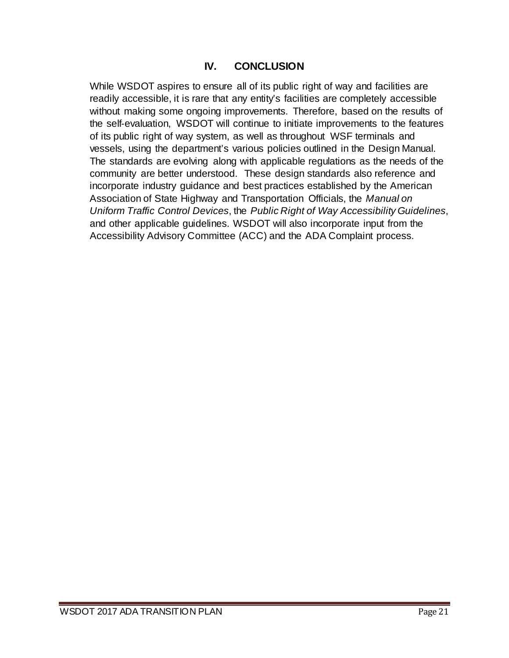### **IV. CONCLUSION**

While WSDOT aspires to ensure all of its public right of way and facilities are readily accessible, it is rare that any entity's facilities are completely accessible without making some ongoing improvements. Therefore, based on the results of the self‐evaluation, WSDOT will continue to initiate improvements to the features of its public right of way system, as well as throughout WSF terminals and vessels, using the department's various policies outlined in the Design Manual. The standards are evolving along with applicable regulations as the needs of the community are better understood. These design standards also reference and incorporate industry guidance and best practices established by the American Association of State Highway and Transportation Officials, the *Manual on Uniform Traffic Control Devices*, the *Public Right of Way Accessibility Guidelines*, and other applicable guidelines. WSDOT will also incorporate input from the Accessibility Advisory Committee (ACC) and the ADA Complaint process.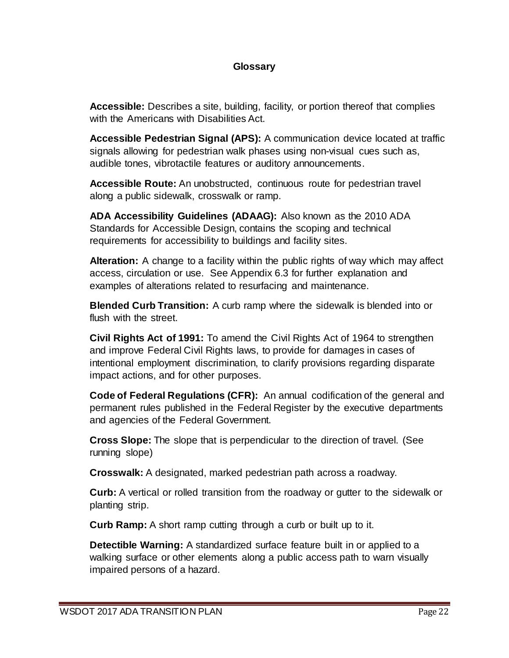#### **Glossary**

**Accessible:** Describes a site, building, facility, or portion thereof that complies with the Americans with Disabilities Act.

**Accessible Pedestrian Signal (APS):** A communication device located at traffic signals allowing for pedestrian walk phases using non-visual cues such as, audible tones, vibrotactile features or auditory announcements.

**Accessible Route:** An unobstructed, continuous route for pedestrian travel along a public sidewalk, crosswalk or ramp.

**ADA Accessibility Guidelines (ADAAG):** Also known as the 2010 ADA Standards for Accessible Design, contains the scoping and technical requirements for accessibility to buildings and facility sites.

**Alteration:** A change to a facility within the public rights of way which may affect access, circulation or use. See Appendix 6.3 for further explanation and examples of alterations related to resurfacing and maintenance.

**Blended Curb Transition:** A curb ramp where the sidewalk is blended into or flush with the street.

**Civil Rights Act of 1991:** To amend the Civil Rights Act of 1964 to strengthen and improve Federal Civil Rights laws, to provide for damages in cases of intentional employment discrimination, to clarify provisions regarding disparate impact actions, and for other purposes.

**Code of Federal Regulations (CFR):** An annual codification of the general and permanent rules published in the Federal Register by the executive departments and agencies of the Federal Government.

**Cross Slope:** The slope that is perpendicular to the direction of travel. (See running slope)

**Crosswalk:** A designated, marked pedestrian path across a roadway.

**Curb:** A vertical or rolled transition from the roadway or gutter to the sidewalk or planting strip.

**Curb Ramp:** A short ramp cutting through a curb or built up to it.

**Detectible Warning:** A standardized surface feature built in or applied to a walking surface or other elements along a public access path to warn visually impaired persons of a hazard.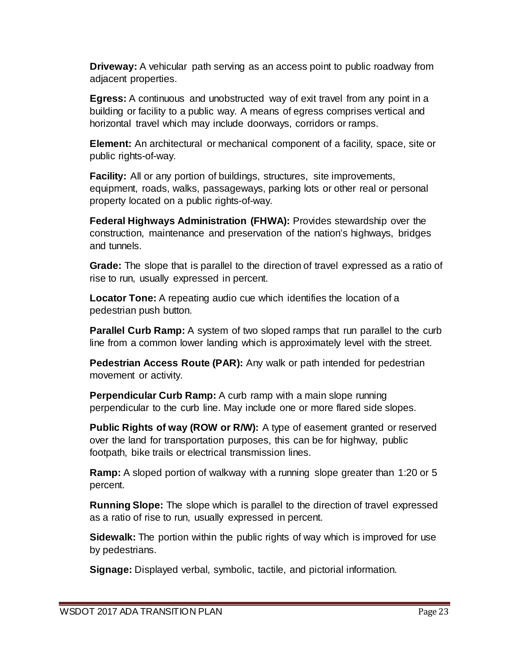**Driveway:** A vehicular path serving as an access point to public roadway from adjacent properties.

**Egress:** A continuous and unobstructed way of exit travel from any point in a building or facility to a public way. A means of egress comprises vertical and horizontal travel which may include doorways, corridors or ramps.

**Element:** An architectural or mechanical component of a facility, space, site or public rights-of-way.

**Facility:** All or any portion of buildings, structures, site improvements, equipment, roads, walks, passageways, parking lots or other real or personal property located on a public rights-of-way.

**Federal Highways Administration (FHWA):** Provides stewardship over the construction, maintenance and preservation of the nation's highways, bridges and tunnels.

**Grade:** The slope that is parallel to the direction of travel expressed as a ratio of rise to run, usually expressed in percent.

**Locator Tone:** A repeating audio cue which identifies the location of a pedestrian push button.

**Parallel Curb Ramp:** A system of two sloped ramps that run parallel to the curb line from a common lower landing which is approximately level with the street.

**Pedestrian Access Route (PAR):** Any walk or path intended for pedestrian movement or activity.

**Perpendicular Curb Ramp:** A curb ramp with a main slope running perpendicular to the curb line. May include one or more flared side slopes.

**Public Rights of way (ROW or R/W):** A type of easement granted or reserved over the land for transportation purposes, this can be for highway, public footpath, bike trails or electrical transmission lines.

**Ramp:** A sloped portion of walkway with a running slope greater than 1:20 or 5 percent.

**Running Slope:** The slope which is parallel to the direction of travel expressed as a ratio of rise to run, usually expressed in percent.

**Sidewalk:** The portion within the public rights of way which is improved for use by pedestrians.

**Signage:** Displayed verbal, symbolic, tactile, and pictorial information.